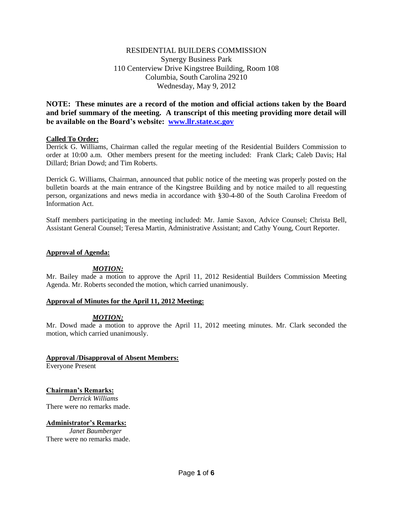# RESIDENTIAL BUILDERS COMMISSION Synergy Business Park 110 Centerview Drive Kingstree Building, Room 108 Columbia, South Carolina 29210 Wednesday, May 9, 2012

**NOTE: These minutes are a record of the motion and official actions taken by the Board and brief summary of the meeting. A transcript of this meeting providing more detail will be available on the Board's website: [www.llr.state.sc.gov](http://www.llr.state.sc.gov/)**

## **Called To Order:**

Derrick G. Williams, Chairman called the regular meeting of the Residential Builders Commission to order at 10:00 a.m. Other members present for the meeting included: Frank Clark; Caleb Davis; Hal Dillard; Brian Dowd; and Tim Roberts.

Derrick G. Williams, Chairman, announced that public notice of the meeting was properly posted on the bulletin boards at the main entrance of the Kingstree Building and by notice mailed to all requesting person, organizations and news media in accordance with §30-4-80 of the South Carolina Freedom of Information Act.

Staff members participating in the meeting included: Mr. Jamie Saxon, Advice Counsel; Christa Bell, Assistant General Counsel; Teresa Martin, Administrative Assistant; and Cathy Young, Court Reporter.

### **Approval of Agenda:**

## *MOTION:*

Mr. Bailey made a motion to approve the April 11, 2012 Residential Builders Commission Meeting Agenda. Mr. Roberts seconded the motion, which carried unanimously.

### **Approval of Minutes for the April 11, 2012 Meeting:**

### *MOTION:*

Mr. Dowd made a motion to approve the April 11, 2012 meeting minutes. Mr. Clark seconded the motion, which carried unanimously.

### **Approval /Disapproval of Absent Members:**

Everyone Present

### **Chairman's Remarks:**

*Derrick Williams* There were no remarks made.

### **Administrator's Remarks:**

*Janet Baumberger* There were no remarks made.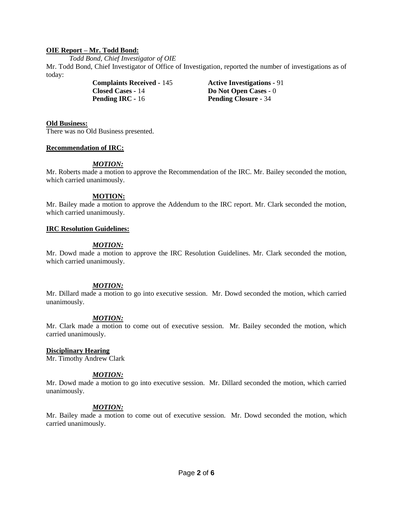### **OIE Report – Mr. Todd Bond:**

*Todd Bond, Chief Investigator of OIE*

Mr. Todd Bond, Chief Investigator of Office of Investigation, reported the number of investigations as of today:

> **Complaints Received -** 145 **Active Investigations -** 91 **Closed Cases -** 14 **Do Not Open Cases -** 0 **Pending IRC -** 16 **Pending Closure -** 34

#### **Old Business:**

There was no Old Business presented.

### **Recommendation of IRC:**

## *MOTION:*

Mr. Roberts made a motion to approve the Recommendation of the IRC. Mr. Bailey seconded the motion, which carried unanimously.

### **MOTION:**

Mr. Bailey made a motion to approve the Addendum to the IRC report. Mr. Clark seconded the motion, which carried unanimously.

### **IRC Resolution Guidelines:**

## *MOTION:*

Mr. Dowd made a motion to approve the IRC Resolution Guidelines. Mr. Clark seconded the motion, which carried unanimously.

### *MOTION:*

Mr. Dillard made a motion to go into executive session. Mr. Dowd seconded the motion, which carried unanimously.

### *MOTION:*

Mr. Clark made a motion to come out of executive session. Mr. Bailey seconded the motion, which carried unanimously.

### **Disciplinary Hearing**

Mr. Timothy Andrew Clark

### *MOTION:*

Mr. Dowd made a motion to go into executive session. Mr. Dillard seconded the motion, which carried unanimously.

### *MOTION:*

Mr. Bailey made a motion to come out of executive session. Mr. Dowd seconded the motion, which carried unanimously.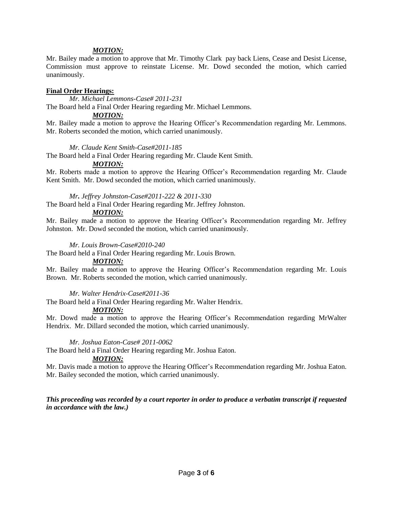### *MOTION:*

Mr. Bailey made a motion to approve that Mr. Timothy Clark pay back Liens, Cease and Desist License, Commission must approve to reinstate License. Mr. Dowd seconded the motion, which carried unanimously.

#### **Final Order Hearings:**

*Mr. Michael Lemmons-Case# 2011-231*

The Board held a Final Order Hearing regarding Mr. Michael Lemmons.

### *MOTION:*

Mr. Bailey made a motion to approve the Hearing Officer's Recommendation regarding Mr. Lemmons. Mr. Roberts seconded the motion, which carried unanimously.

### *Mr. Claude Kent Smith-Case#2011-185*

The Board held a Final Order Hearing regarding Mr. Claude Kent Smith.

#### *MOTION:*

Mr. Roberts made a motion to approve the Hearing Officer's Recommendation regarding Mr. Claude Kent Smith. Mr. Dowd seconded the motion, which carried unanimously.

*Mr. Jeffrey Johnston-Case#2011-222 & 2011-330*

The Board held a Final Order Hearing regarding Mr. Jeffrey Johnston.

# *MOTION:*

Mr. Bailey made a motion to approve the Hearing Officer's Recommendation regarding Mr. Jeffrey Johnston. Mr. Dowd seconded the motion, which carried unanimously.

#### *Mr. Louis Brown-Case#2010-240*

The Board held a Final Order Hearing regarding Mr. Louis Brown.

### *MOTION:*

Mr. Bailey made a motion to approve the Hearing Officer's Recommendation regarding Mr. Louis Brown. Mr. Roberts seconded the motion, which carried unanimously.

### *Mr. Walter Hendrix-Case#2011-36*

The Board held a Final Order Hearing regarding Mr. Walter Hendrix.

### *MOTION:*

Mr. Dowd made a motion to approve the Hearing Officer's Recommendation regarding MrWalter Hendrix. Mr. Dillard seconded the motion, which carried unanimously.

### *Mr. Joshua Eaton-Case# 2011-0062*

The Board held a Final Order Hearing regarding Mr. Joshua Eaton.

### *MOTION:*

Mr. Davis made a motion to approve the Hearing Officer's Recommendation regarding Mr. Joshua Eaton. Mr. Bailey seconded the motion, which carried unanimously.

*This proceeding was recorded by a court reporter in order to produce a verbatim transcript if requested in accordance with the law.)*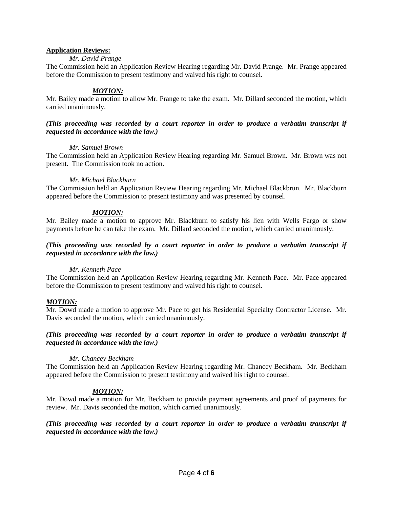### **Application Reviews:**

## *Mr. David Prange*

The Commission held an Application Review Hearing regarding Mr. David Prange. Mr. Prange appeared before the Commission to present testimony and waived his right to counsel.

## *MOTION:*

Mr. Bailey made a motion to allow Mr. Prange to take the exam. Mr. Dillard seconded the motion, which carried unanimously.

### *(This proceeding was recorded by a court reporter in order to produce a verbatim transcript if requested in accordance with the law.)*

### *Mr. Samuel Brown*

The Commission held an Application Review Hearing regarding Mr. Samuel Brown. Mr. Brown was not present. The Commission took no action.

## *Mr. Michael Blackburn*

The Commission held an Application Review Hearing regarding Mr. Michael Blackbrun. Mr. Blackburn appeared before the Commission to present testimony and was presented by counsel.

## *MOTION:*

Mr. Bailey made a motion to approve Mr. Blackburn to satisfy his lien with Wells Fargo or show payments before he can take the exam. Mr. Dillard seconded the motion, which carried unanimously.

## *(This proceeding was recorded by a court reporter in order to produce a verbatim transcript if requested in accordance with the law.)*

### *Mr. Kenneth Pace*

The Commission held an Application Review Hearing regarding Mr. Kenneth Pace. Mr. Pace appeared before the Commission to present testimony and waived his right to counsel.

## *MOTION:*

Mr. Dowd made a motion to approve Mr. Pace to get his Residential Specialty Contractor License. Mr. Davis seconded the motion, which carried unanimously.

### *(This proceeding was recorded by a court reporter in order to produce a verbatim transcript if requested in accordance with the law.)*

### *Mr. Chancey Beckham*

The Commission held an Application Review Hearing regarding Mr. Chancey Beckham. Mr. Beckham appeared before the Commission to present testimony and waived his right to counsel.

## *MOTION:*

Mr. Dowd made a motion for Mr. Beckham to provide payment agreements and proof of payments for review. Mr. Davis seconded the motion, which carried unanimously.

*(This proceeding was recorded by a court reporter in order to produce a verbatim transcript if requested in accordance with the law.)*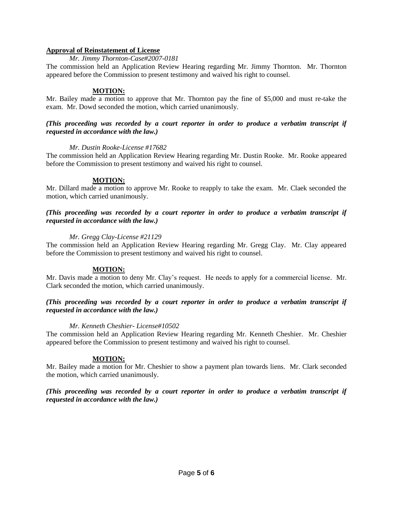### **Approval of Reinstatement of License**

#### *Mr. Jimmy Thornton-Case#2007-0181*

The commission held an Application Review Hearing regarding Mr. Jimmy Thornton. Mr. Thornton appeared before the Commission to present testimony and waived his right to counsel.

#### **MOTION:**

Mr. Bailey made a motion to approve that Mr. Thornton pay the fine of \$5,000 and must re-take the exam. Mr. Dowd seconded the motion, which carried unanimously.

#### *(This proceeding was recorded by a court reporter in order to produce a verbatim transcript if requested in accordance with the law.)*

#### *Mr. Dustin Rooke-License #17682*

The commission held an Application Review Hearing regarding Mr. Dustin Rooke. Mr. Rooke appeared before the Commission to present testimony and waived his right to counsel.

### **MOTION:**

Mr. Dillard made a motion to approve Mr. Rooke to reapply to take the exam. Mr. Claek seconded the motion, which carried unanimously.

### *(This proceeding was recorded by a court reporter in order to produce a verbatim transcript if requested in accordance with the law.)*

#### *Mr. Gregg Clay-License #21129*

The commission held an Application Review Hearing regarding Mr. Gregg Clay. Mr. Clay appeared before the Commission to present testimony and waived his right to counsel.

### **MOTION:**

Mr. Davis made a motion to deny Mr. Clay's request. He needs to apply for a commercial license. Mr. Clark seconded the motion, which carried unanimously.

### *(This proceeding was recorded by a court reporter in order to produce a verbatim transcript if requested in accordance with the law.)*

#### *Mr. Kenneth Cheshier- License#10502*

The commission held an Application Review Hearing regarding Mr. Kenneth Cheshier. Mr. Cheshier appeared before the Commission to present testimony and waived his right to counsel.

### **MOTION:**

Mr. Bailey made a motion for Mr. Cheshier to show a payment plan towards liens. Mr. Clark seconded the motion, which carried unanimously.

### *(This proceeding was recorded by a court reporter in order to produce a verbatim transcript if requested in accordance with the law.)*